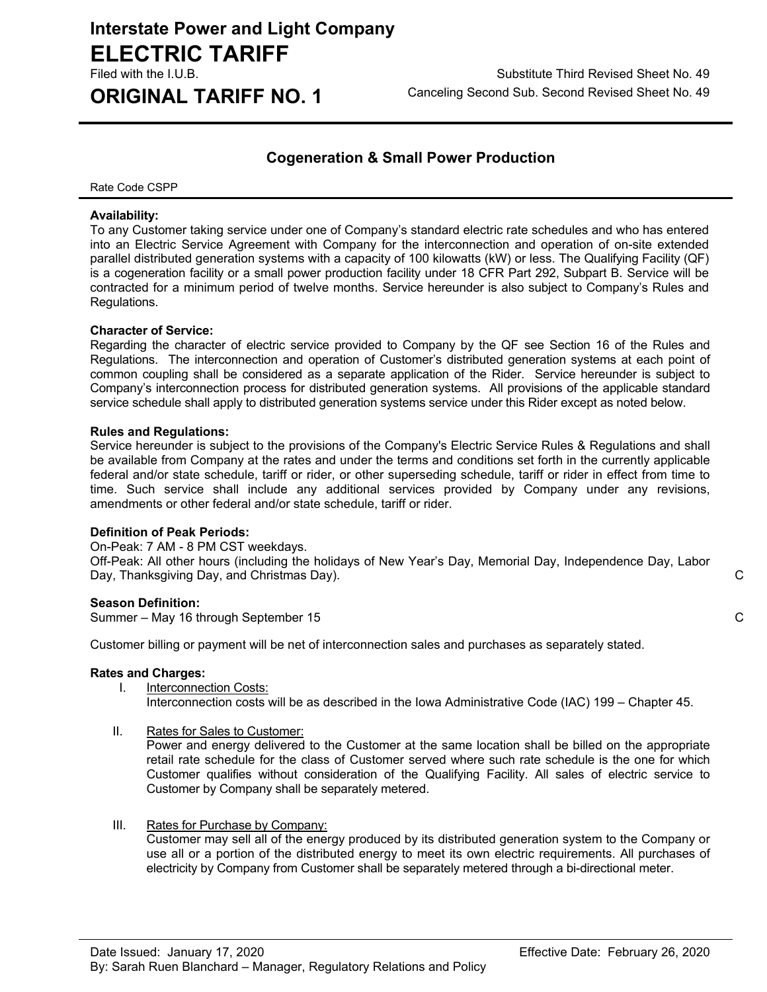# **Interstate Power and Light Company ELECTRIC TARIFF**

Filed with the I.U.B. Substitute Third Revised Sheet No. 49 **ORIGINAL TARIFF NO. 1** Canceling Second Sub. Second Revised Sheet No. 49

### **Cogeneration & Small Power Production**

Rate Code CSPP

#### **Availability:**

To any Customer taking service under one of Company's standard electric rate schedules and who has entered into an Electric Service Agreement with Company for the interconnection and operation of on-site extended parallel distributed generation systems with a capacity of 100 kilowatts (kW) or less. The Qualifying Facility (QF) is a cogeneration facility or a small power production facility under 18 CFR Part 292, Subpart B. Service will be contracted for a minimum period of twelve months. Service hereunder is also subject to Company's Rules and Regulations.

#### **Character of Service:**

Regarding the character of electric service provided to Company by the QF see Section 16 of the Rules and Regulations. The interconnection and operation of Customer's distributed generation systems at each point of common coupling shall be considered as a separate application of the Rider. Service hereunder is subject to Company's interconnection process for distributed generation systems. All provisions of the applicable standard service schedule shall apply to distributed generation systems service under this Rider except as noted below.

#### **Rules and Regulations:**

Service hereunder is subject to the provisions of the Company's Electric Service Rules & Regulations and shall be available from Company at the rates and under the terms and conditions set forth in the currently applicable federal and/or state schedule, tariff or rider, or other superseding schedule, tariff or rider in effect from time to time. Such service shall include any additional services provided by Company under any revisions, amendments or other federal and/or state schedule, tariff or rider.

#### **Definition of Peak Periods:**

On-Peak: 7 AM - 8 PM CST weekdays.

Off-Peak: All other hours (including the holidays of New Year's Day, Memorial Day, Independence Day, Labor Day, Thanksgiving Day, and Christmas Day). C

#### **Season Definition:**

Summer – May 16 through September 15 C

Customer billing or payment will be net of interconnection sales and purchases as separately stated.

#### **Rates and Charges:**

- I. Interconnection Costs: Interconnection costs will be as described in the Iowa Administrative Code (IAC) 199 – Chapter 45.
- II. Rates for Sales to Customer:

Power and energy delivered to the Customer at the same location shall be billed on the appropriate retail rate schedule for the class of Customer served where such rate schedule is the one for which Customer qualifies without consideration of the Qualifying Facility. All sales of electric service to Customer by Company shall be separately metered.

III. Rates for Purchase by Company:

Customer may sell all of the energy produced by its distributed generation system to the Company or use all or a portion of the distributed energy to meet its own electric requirements. All purchases of electricity by Company from Customer shall be separately metered through a bi-directional meter.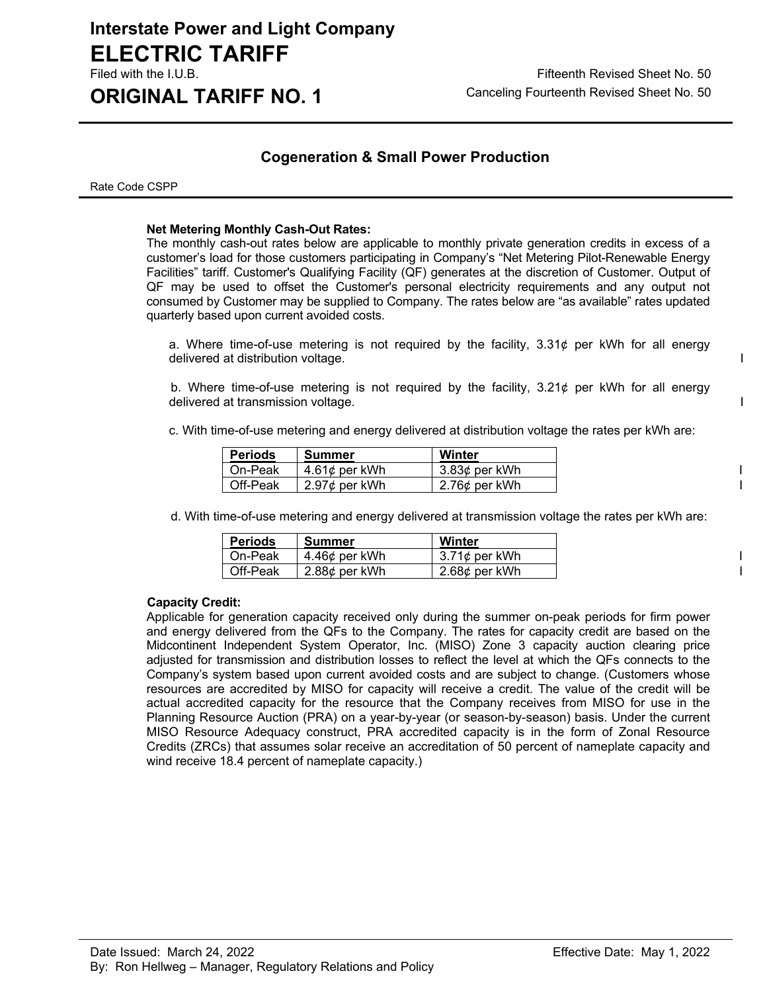# **Interstate Power and Light Company ELECTRIC TARIFF**

#### **Cogeneration & Small Power Production**

Rate Code CSPP

#### **Net Metering Monthly Cash-Out Rates:**

The monthly cash-out rates below are applicable to monthly private generation credits in excess of a customer's load for those customers participating in Company's "Net Metering Pilot-Renewable Energy Facilities" tariff. Customer's Qualifying Facility (QF) generates at the discretion of Customer. Output of QF may be used to offset the Customer's personal electricity requirements and any output not consumed by Customer may be supplied to Company. The rates below are "as available" rates updated quarterly based upon current avoided costs.

a. Where time-of-use metering is not required by the facility,  $3.31\phi$  per kWh for all energy delivered at distribution voltage. I

b. Where time-of-use metering is not required by the facility,  $3.21\phi$  per kWh for all energy delivered at transmission voltage. In the set of the set of the set of the set of the set of the set of the set of the set of the set of the set of the set of the set of the set of the set of the set of the set of the set

c. With time-of-use metering and energy delivered at distribution voltage the rates per kWh are:

| <b>Periods</b> | Summer              | Winter        |
|----------------|---------------------|---------------|
| On-Peak        | 4.61 $\phi$ per kWh | 3.83¢ per kWh |
| Off-Peak       | $2.97$ ¢ per kWh    | 2.76¢ per kWh |

d. With time-of-use metering and energy delivered at transmission voltage the rates per kWh are:

| <b>Periods</b> | Summer        | Winter           |
|----------------|---------------|------------------|
| On-Peak        | 4.46¢ per kWh | $3.71$ ¢ per kWh |
| Off-Peak       | 2.88¢ per kWh | 2.68¢ per kWh    |

#### **Capacity Credit:**

Applicable for generation capacity received only during the summer on-peak periods for firm power and energy delivered from the QFs to the Company. The rates for capacity credit are based on the Midcontinent Independent System Operator, Inc. (MISO) Zone 3 capacity auction clearing price adjusted for transmission and distribution losses to reflect the level at which the QFs connects to the Company's system based upon current avoided costs and are subject to change. (Customers whose resources are accredited by MISO for capacity will receive a credit. The value of the credit will be actual accredited capacity for the resource that the Company receives from MISO for use in the Planning Resource Auction (PRA) on a year-by-year (or season-by-season) basis. Under the current MISO Resource Adequacy construct, PRA accredited capacity is in the form of Zonal Resource Credits (ZRCs) that assumes solar receive an accreditation of 50 percent of nameplate capacity and wind receive 18.4 percent of nameplate capacity.)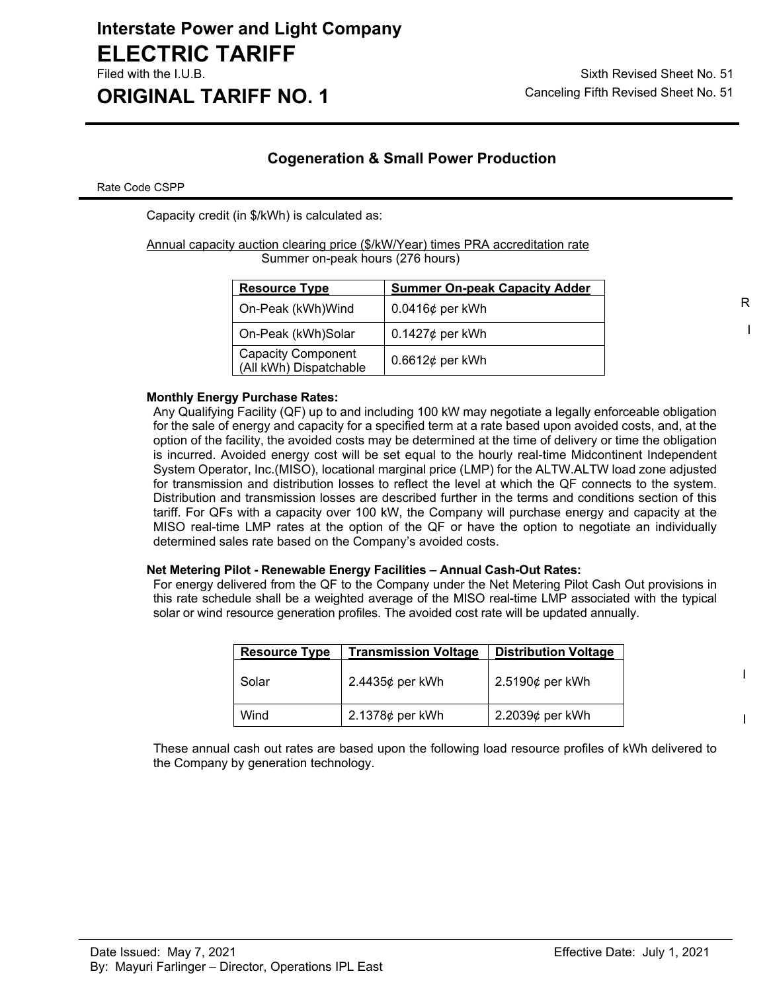# **Interstate Power and Light Company ELECTRIC TARIFF**

**ORIGINAL TARIFF NO. 1** Canceling Fifth Revised Sheet No. 51

### **Cogeneration & Small Power Production**

Rate Code CSPP

Capacity credit (in \$/kWh) is calculated as:

Annual capacity auction clearing price (\$/kW/Year) times PRA accreditation rate Summer on-peak hours (276 hours)

| <b>Resource Type</b>                                | <b>Summer On-peak Capacity Adder</b> |   |
|-----------------------------------------------------|--------------------------------------|---|
| On-Peak (kWh)Wind                                   | $0.0416\phi$ per kWh                 | R |
| On-Peak (kWh)Solar                                  | $0.1427\phi$ per kWh                 |   |
| <b>Capacity Component</b><br>(All kWh) Dispatchable | 0.6612 $\phi$ per kWh                |   |

#### **Monthly Energy Purchase Rates:**

Any Qualifying Facility (QF) up to and including 100 kW may negotiate a legally enforceable obligation for the sale of energy and capacity for a specified term at a rate based upon avoided costs, and, at the option of the facility, the avoided costs may be determined at the time of delivery or time the obligation is incurred. Avoided energy cost will be set equal to the hourly real-time Midcontinent Independent System Operator, Inc.(MISO), locational marginal price (LMP) for the ALTW.ALTW load zone adjusted for transmission and distribution losses to reflect the level at which the QF connects to the system. Distribution and transmission losses are described further in the terms and conditions section of this tariff. For QFs with a capacity over 100 kW, the Company will purchase energy and capacity at the MISO real-time LMP rates at the option of the QF or have the option to negotiate an individually determined sales rate based on the Company's avoided costs.

#### **Net Metering Pilot - Renewable Energy Facilities – Annual Cash-Out Rates:**

For energy delivered from the QF to the Company under the Net Metering Pilot Cash Out provisions in this rate schedule shall be a weighted average of the MISO real-time LMP associated with the typical solar or wind resource generation profiles. The avoided cost rate will be updated annually.

| <b>Resource Type</b> | <b>Transmission Voltage</b> | <b>Distribution Voltage</b> |
|----------------------|-----------------------------|-----------------------------|
| Solar                | 2.4435¢ per kWh             | $2.5190¢$ per kWh           |
| Wind                 | 2.1378 $\phi$ per kWh       | $2.2039¢$ per kWh           |

These annual cash out rates are based upon the following load resource profiles of kWh delivered to the Company by generation technology.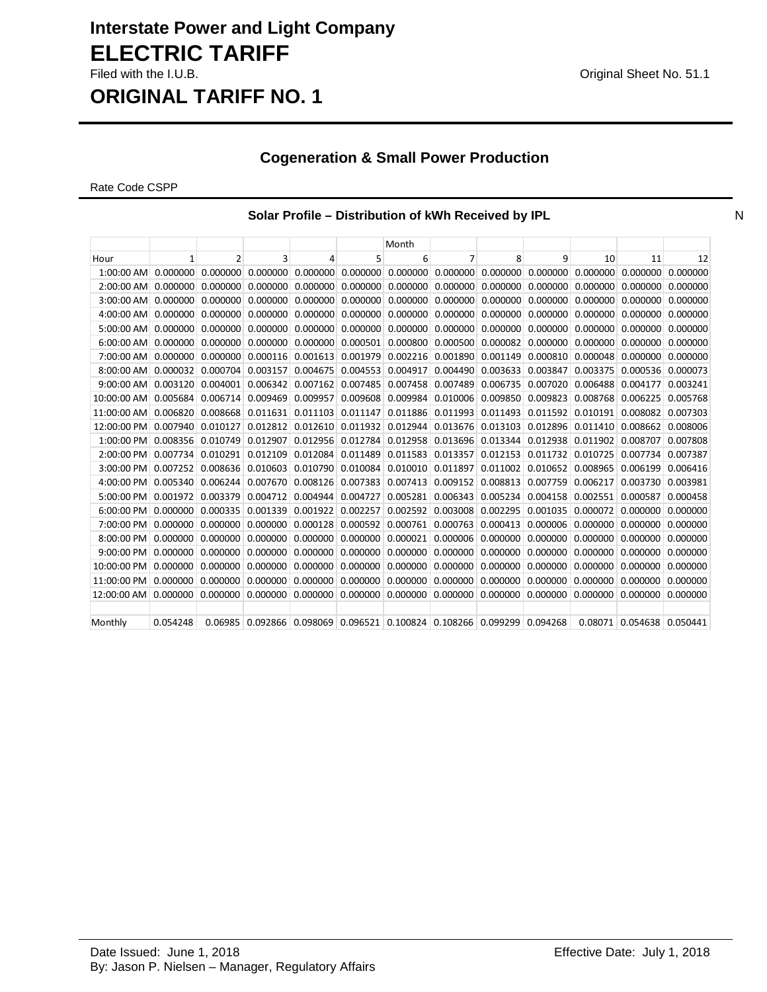## **Interstate Power and Light Company ELECTRIC TARIFF** Filed with the I.U.B. **Community** Contract the I.U.B. Community Contract Act of the U.S. of the U.S. 1.1

**ORIGINAL TARIFF NO. 1**

### **Cogeneration & Small Power Production**

Rate Code CSPP

#### **Solar Profile – Distribution of kWh Received by IPL Number 2012 1998 Number 2013**

|              |              |                |          |          |          | Month                                                 |                   |                          |          |          |                  |          |
|--------------|--------------|----------------|----------|----------|----------|-------------------------------------------------------|-------------------|--------------------------|----------|----------|------------------|----------|
| Hour         | $\mathbf{1}$ | $\overline{2}$ | 3        | 4        | 5        | 6                                                     | $\overline{7}$    | 8                        | 9        | 10       | 11               | 12       |
| $1:00:00$ AM | 0.000000     | 0.000000       | 0.000000 | 0.000000 | 0.000000 | 0.000000                                              | 0.000000          | 0.000000                 | 0.000000 | 0.000000 | 0.000000         | 0.000000 |
| 2:00:00 AM   | 0.000000     | 0.000000       | 0.000000 | 0.000000 | 0.000000 | 0.000000                                              | 0.000000          | 0.000000                 | 0.000000 | 0.000000 | 0.000000         | 0.000000 |
| $3:00:00$ AM | 0.000000     | 0.000000       | 0.000000 | 0.000000 | 0.000000 | 0.000000                                              | 0.000000          | 0.000000                 | 0.000000 | 0.000000 | 0.000000         | 0.000000 |
| 4:00:00 AM   | 0.000000     | 0.000000       | 0.000000 | 0.000000 | 0.000000 | 0.000000                                              | 0.000000          | 0.000000                 | 0.000000 | 0.000000 | 0.000000         | 0.000000 |
| 5:00:00 AM   | 0.000000     | 0.000000       | 0.000000 | 0.000000 | 0.000000 | 0.000000                                              | 0.000000          | 0.000000                 | 0.000000 | 0.000000 | 0.000000         | 0.000000 |
| $6:00:00$ AM | 0.000000     | 0.000000       | 0.000000 | 0.000000 | 0.000501 | 0.000800                                              | 0.000500          | 0.000082                 | 0.000000 | 0.000000 | 0.000000         | 0.000000 |
| 7:00:00 AM   | 0.000000     | 0.000000       | 0.000116 | 0.001613 | 0.001979 | 0.002216                                              | 0.001890          | 0.001149                 | 0.000810 | 0.000048 | 0.000000         | 0.000000 |
| 8:00:00 AM   | 0.000032     | 0.000704       | 0.003157 | 0.004675 | 0.004553 | 0.004917                                              | 0.004490          | 0.003633                 | 0.003847 | 0.003375 | 0.000536         | 0.000073 |
| 9:00:00 AM   | 0.003120     | 0.004001       | 0.006342 | 0.007162 | 0.007485 | 0.007458                                              | 0.007489          | 0.006735                 | 0.007020 | 0.006488 | 0.004177         | 0.003241 |
| 10:00:00 AM  | 0.005684     | 0.006714       | 0.009469 | 0.009957 | 0.009608 | 0.009984                                              | 0.010006          | 0.009850                 | 0.009823 | 0.008768 | 0.006225         | 0.005768 |
| 11:00:00 AM  | 0.006820     | 0.008668       | 0.011631 | 0.011103 | 0.011147 | 0.011886                                              |                   | 0.011993   0.011493      | 0.011592 | 0.010191 | 0.008082         | 0.007303 |
| 12:00:00 PM  | 0.007940     | 0.010127       | 0.012812 | 0.012610 | 0.011932 | 0.012944                                              | 0.013676 0.013103 |                          | 0.012896 | 0.011410 | 0.008662         | 0.008006 |
| 1:00:00 PM   | 0.008356     | 0.010749       | 0.012907 | 0.012956 | 0.012784 | 0.012958                                              | 0.013696 0.013344 |                          | 0.012938 | 0.011902 | 0.008707         | 0.007808 |
| 2:00:00 PM   | 0.007734     | 0.010291       | 0.012109 | 0.012084 | 0.011489 | 0.011583                                              | 0.013357          | 0.012153                 | 0.011732 | 0.010725 | 0.007734         | 0.007387 |
| $3:00:00$ PM | 0.007252     | 0.008636       | 0.010603 | 0.010790 | 0.010084 | 0.010010                                              | 0.011897          | 0.011002                 | 0.010652 | 0.008965 | 0.006199         | 0.006416 |
| $4:00:00$ PM | 0.005340     | 0.006244       | 0.007670 | 0.008126 | 0.007383 | 0.007413                                              | 0.009152          | 0.008813                 | 0.007759 | 0.006217 | 0.003730         | 0.003981 |
| 5:00:00 PM   | 0.001972     | 0.003379       | 0.004712 | 0.004944 | 0.004727 | 0.005281                                              | 0.006343          | 0.005234                 | 0.004158 | 0.002551 | 0.000587         | 0.000458 |
| 6:00:00 PM   | 0.000000     | 0.000335       | 0.001339 | 0.001922 | 0.002257 | 0.002592                                              | 0.003008          | 0.002295                 | 0.001035 | 0.000072 | 0.000000         | 0.000000 |
| 7:00:00 PM   | 0.000000     | 0.000000       | 0.000000 | 0.000128 | 0.000592 | 0.000761                                              | 0.000763          | 0.000413                 | 0.000006 | 0.000000 | 0.000000         | 0.000000 |
| $8:00:00$ PM | 0.000000     | 0.000000       | 0.000000 | 0.000000 | 0.000000 | 0.000021                                              | 0.000006          | 0.000000                 | 0.000000 | 0.000000 | 0.000000         | 0.000000 |
| 9:00:00 PM   | 0.000000     | 0.000000       | 0.000000 | 0.000000 | 0.000000 | 0.000000                                              | 0.000000          | 0.000000                 | 0.000000 | 0.000000 | 0.000000         | 0.000000 |
| 10:00:00 PM  | 0.000000     | 0.000000       | 0.000000 | 0.000000 | 0.000000 | 0.000000                                              | 0.000000          | 0.000000                 | 0.000000 | 0.000000 | 0.000000         | 0.000000 |
| 11:00:00 PM  | 0.000000     | 0.000000       | 0.000000 | 0.000000 | 0.000000 | 0.000000                                              | 0.000000          | 0.000000                 | 0.000000 | 0.000000 | 0.000000         | 0.000000 |
| 12:00:00 AM  | 0.000000     | 0.000000       | 0.000000 | 0.000000 |          | 0.000000 0.000000                                     |                   | $0.000000 \mid 0.000000$ | 0.000000 | 0.000000 | 0.000000         | 0.000000 |
|              |              |                |          |          |          |                                                       |                   |                          |          |          |                  |          |
| Monthly      | 0.054248     | 0.06985        |          |          |          | 0.092866 0.098069 0.096521 0.100824 0.108266 0.099299 |                   |                          | 0.094268 |          | 0.08071 0.054638 | 0.050441 |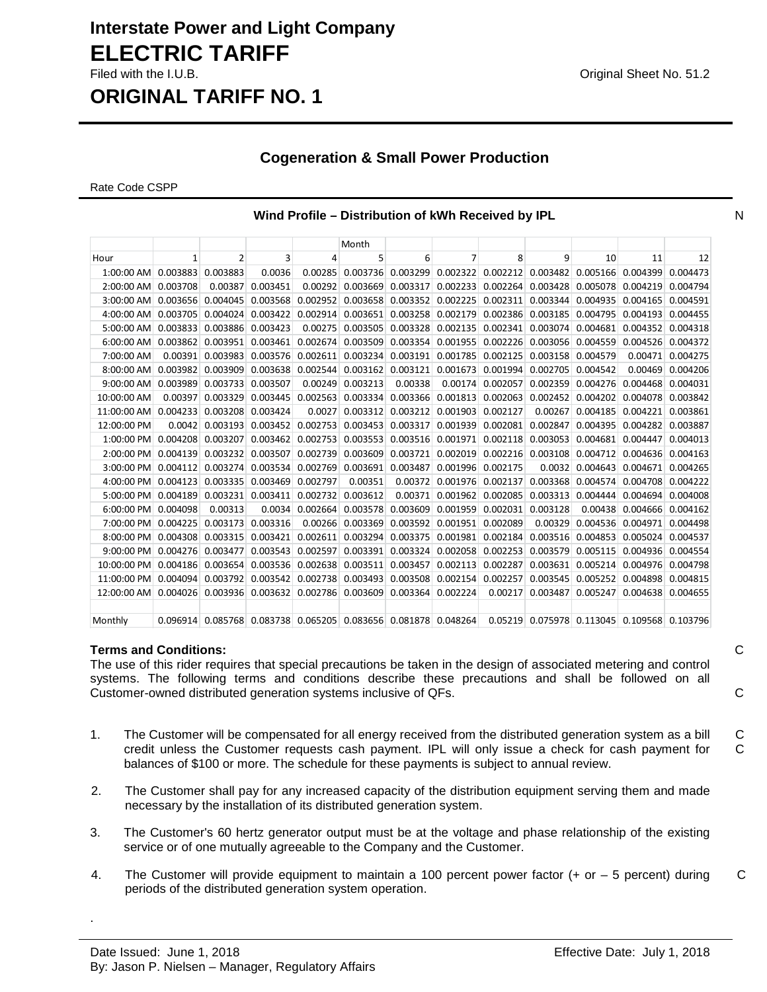### **Interstate Power and Light Company ELECTRIC TARIFF** Filed with the I.U.B. Original Sheet No. 51.2

### **ORIGINAL TARIFF NO. 1**

#### **Cogeneration & Small Power Production**

Rate Code CSPP

|                                                                            |          |                    |                                                                              |          | Month                                |                       |          |          |          |                                             |                   |                     |
|----------------------------------------------------------------------------|----------|--------------------|------------------------------------------------------------------------------|----------|--------------------------------------|-----------------------|----------|----------|----------|---------------------------------------------|-------------------|---------------------|
| Hour                                                                       | 1        | 2                  | 3                                                                            | 4        | 5                                    | 6                     | 7        | 8        | 9        | 10                                          | 11                | 12                  |
| 1:00:00 AM                                                                 | 0.003883 | 0.003883           | 0.0036                                                                       | 0.00285  | 0.003736                             | 0.003299              | 0.002322 | 0.002212 | 0.003482 | 0.005166                                    | 0.004399          | 0.004473            |
| $2:00:00$ AM                                                               | 0.003708 | 0.00387            | 0.003451                                                                     | 0.00292  | 0.003669                             | 0.003317              | 0.002233 | 0.002264 | 0.003428 | 0.005078                                    | 0.004219          | 0.004794            |
| $3:00:00$ AM                                                               | 0.003656 | 0.004045           | 0.003568                                                                     | 0.002952 | 0.003658                             | 0.003352              | 0.002225 | 0.002311 | 0.003344 | 0.004935                                    | 0.004165          | 0.004591            |
| 4:00:00 AM                                                                 | 0.003705 | 0.004024           | 0.003422                                                                     | 0.002914 | 0.003651                             | 0.003258              | 0.002179 | 0.002386 | 0.003185 | 0.004795                                    | 0.004193          | 0.004455            |
| 5:00:00 AM                                                                 | 0.003833 | 0.003886           | 0.003423                                                                     | 0.00275  | 0.003505                             | 0.003328              | 0.002135 | 0.002341 | 0.003074 | 0.004681                                    |                   | $0.004352$ 0.004318 |
| $6:00:00$ AM                                                               | 0.003862 | 0.003951           | 0.003461                                                                     | 0.002674 | 0.003509                             | 0.003354              | 0.001955 | 0.002226 | 0.003056 | 0.004559                                    | 0.004526          | 0.004372            |
| 7:00:00 AM                                                                 |          | 0.00391   0.003983 | 0.003576                                                                     | 0.002611 |                                      | 0.003234   0.003191   | 0.001785 | 0.002125 | 0.003158 | 0.004579                                    | 0.00471           | 0.004275            |
| $8:00:00$ AM                                                               | 0.003982 | 0.003909           | 0.003638                                                                     | 0.002544 |                                      | $0.003162$ 0.003121   | 0.001673 | 0.001994 | 0.002705 | 0.004542                                    | 0.00469           | 0.004206            |
| $9:00:00$ AM                                                               | 0.003989 | 0.003733           | 0.003507                                                                     | 0.00249  | 0.003213                             | 0.00338               | 0.00174  | 0.002057 | 0.002359 | 0.004276                                    | 0.004468          | 0.004031            |
| 10:00:00 AM                                                                | 0.00397  | 0.003329           | 0.003445                                                                     | 0.002563 | 0.003334                             | 0.003366              | 0.001813 | 0.002063 | 0.002452 | 0.004202                                    | 0.004078          | 0.003842            |
| 11:00:00 AM                                                                | 0.004233 | 0.003208           | 0.003424                                                                     | 0.0027   |                                      | $0.003312$ $0.003212$ | 0.001903 | 0.002127 | 0.00267  | 0.004185                                    | 0.004221          | 0.003861            |
| 12:00:00 PM                                                                | 0.0042   | 0.003193           | 0.003452                                                                     | 0.002753 | 0.003453                             | 0.003317              | 0.001939 | 0.002081 | 0.002847 | 0.004395                                    | 0.004282          | 0.003887            |
| $1:00:00$ PM                                                               | 0.004208 | 0.003207           | 0.003462                                                                     | 0.002753 | 0.003553                             | 0.003516              | 0.001971 | 0.002118 | 0.003053 | 0.004681                                    | 0.004447          | 0.004013            |
| $2:00:00$ PM                                                               | 0.004139 | 0.003232           | 0.003507                                                                     | 0.002739 | 0.003609                             | 0.003721              | 0.002019 | 0.002216 | 0.003108 | 0.004712                                    | 0.004636          | 0.004163            |
| $3:00:00$ PM                                                               | 0.004112 | 0.003274           | 0.003534                                                                     | 0.002769 | 0.003691                             | 0.003487              | 0.001996 | 0.002175 | 0.0032   | 0.004643                                    | 0.004671          | 0.004265            |
| $4:00:00$ PM                                                               | 0.004123 | 0.003335           | 0.003469                                                                     | 0.002797 | 0.00351                              | 0.00372               | 0.001976 | 0.002137 | 0.003368 | 0.004574                                    | 0.004708          | 0.004222            |
| $5:00:00$ PM                                                               | 0.004189 | 0.003231           | 0.003411                                                                     | 0.002732 | 0.003612                             | 0.00371               | 0.001962 | 0.002085 | 0.003313 | 0.004444                                    | 0.004694          | 0.004008            |
| $6:00:00$ PM                                                               | 0.004098 | 0.00313            | 0.0034                                                                       | 0.002664 | 0.003578                             | 0.003609              | 0.001959 | 0.002031 | 0.003128 | 0.00438                                     | 0.004666          | 0.004162            |
| 7:00:00 PM                                                                 | 0.004225 | 0.003173           | 0.003316                                                                     |          | $0.00266$ 0.003369 0.003592 0.001951 |                       |          | 0.002089 | 0.00329  | 0.004536                                    | 0.004971          | 0.004498            |
| $8:00:00$ PM                                                               | 0.004308 | 0.003315           | 0.003421                                                                     | 0.002611 | 0.003294                             | 0.003375              | 0.001981 | 0.002184 | 0.003516 | 0.004853                                    | 0.005024          | 0.004537            |
| $9:00:00$ PM                                                               | 0.004276 | 0.003477           | 0.003543                                                                     | 0.002597 | 0.003391                             | 0.003324              | 0.002058 | 0.002253 | 0.003579 | 0.005115                                    | 0.004936          | 0.004554            |
| 10:00:00 PM                                                                | 0.004186 | 0.003654           |                                                                              |          | 0.003536 0.002638 0.003511 0.003457  |                       | 0.002113 | 0.002287 | 0.003631 | 0.005214                                    | 0.004976          | 0.004798            |
| 11:00:00 PM                                                                | 0.004094 | 0.003792           | 0.003542                                                                     | 0.002738 | 0.003493                             | 0.003508              | 0.002154 | 0.002257 | 0.003545 | 0.005252                                    | 0.004898          | 0.004815            |
| 12:00:00 AM 0.004026 0.003936 0.003632 0.002786 0.003609 0.003364 0.002224 |          |                    |                                                                              |          |                                      |                       |          | 0.00217  | 0.003487 | 0.005247                                    | 0.004638 0.004655 |                     |
|                                                                            |          |                    |                                                                              |          |                                      |                       |          |          |          |                                             |                   |                     |
| Monthly                                                                    |          |                    | $0.096914$ $0.085768$ $0.083738$ $0.065205$ $0.083656$ $0.081878$ $0.048264$ |          |                                      |                       |          |          |          | 0.05219 0.075978 0.113045 0.109568 0.103796 |                   |                     |

#### **Terms and Conditions:** C

.

The use of this rider requires that special precautions be taken in the design of associated metering and control systems. The following terms and conditions describe these precautions and shall be followed on all Customer-owned distributed generation systems inclusive of QFs. C

- 1. The Customer will be compensated for all energy received from the distributed generation system as a bill credit unless the Customer requests cash payment. IPL will only issue a check for cash payment for balances of \$100 or more. The schedule for these payments is subject to annual review. C C
- 2. The Customer shall pay for any increased capacity of the distribution equipment serving them and made necessary by the installation of its distributed generation system.
- 3. The Customer's 60 hertz generator output must be at the voltage and phase relationship of the existing service or of one mutually agreeable to the Company and the Customer.
- 4. The Customer will provide equipment to maintain a 100 percent power factor  $(+)$  or  $-$  5 percent) during periods of the distributed generation system operation. C